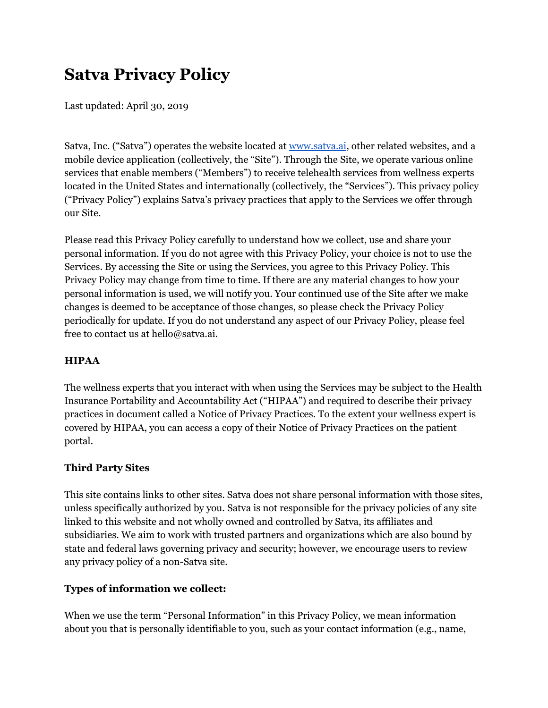# **Satva Privacy Policy**

Last updated: April 30, 2019

Satva, Inc. ("Satva") operates the website located at [www.satva.ai](http://www.satva.ai/), other related websites, and a mobile device application (collectively, the "Site"). Through the Site, we operate various online services that enable members ("Members") to receive telehealth services from wellness experts located in the United States and internationally (collectively, the "Services"). This privacy policy ("Privacy Policy") explains Satva's privacy practices that apply to the Services we offer through our Site.

Please read this Privacy Policy carefully to understand how we collect, use and share your personal information. If you do not agree with this Privacy Policy, your choice is not to use the Services. By accessing the Site or using the Services, you agree to this Privacy Policy. This Privacy Policy may change from time to time. If there are any material changes to how your personal information is used, we will notify you. Your continued use of the Site after we make changes is deemed to be acceptance of those changes, so please check the Privacy Policy periodically for update. If you do not understand any aspect of our Privacy Policy, please feel free to contact us at hello@satva.ai.

# **HIPAA**

The wellness experts that you interact with when using the Services may be subject to the Health Insurance Portability and Accountability Act ("HIPAA") and required to describe their privacy practices in document called a Notice of Privacy Practices. To the extent your wellness expert is covered by HIPAA, you can access a copy of their Notice of Privacy Practices on the patient portal.

# **Third Party Sites**

This site contains links to other sites. Satva does not share personal information with those sites, unless specifically authorized by you. Satva is not responsible for the privacy policies of any site linked to this website and not wholly owned and controlled by Satva, its affiliates and subsidiaries. We aim to work with trusted partners and organizations which are also bound by state and federal laws governing privacy and security; however, we encourage users to review any privacy policy of a non-Satva site.

# **Types of information we collect:**

When we use the term "Personal Information" in this Privacy Policy, we mean information about you that is personally identifiable to you, such as your contact information (e.g., name,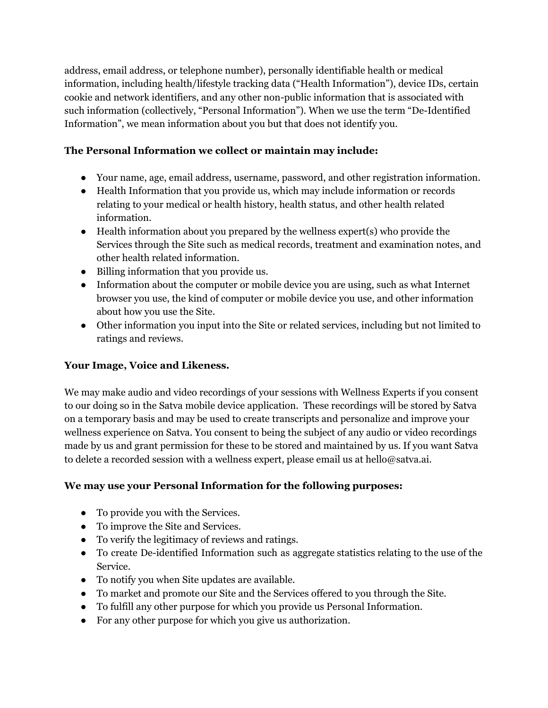address, email address, or telephone number), personally identifiable health or medical information, including health/lifestyle tracking data ("Health Information"), device IDs, certain cookie and network identifiers, and any other non-public information that is associated with such information (collectively, "Personal Information"). When we use the term "De-Identified Information", we mean information about you but that does not identify you.

# **The Personal Information we collect or maintain may include:**

- Your name, age, email address, username, password, and other registration information.
- Health Information that you provide us, which may include information or records relating to your medical or health history, health status, and other health related information.
- Health information about you prepared by the wellness expert(s) who provide the Services through the Site such as medical records, treatment and examination notes, and other health related information.
- Billing information that you provide us.
- Information about the computer or mobile device you are using, such as what Internet browser you use, the kind of computer or mobile device you use, and other information about how you use the Site.
- Other information you input into the Site or related services, including but not limited to ratings and reviews.

## **Your Image, Voice and Likeness.**

We may make audio and video recordings of your sessions with Wellness Experts if you consent to our doing so in the Satva mobile device application. These recordings will be stored by Satva on a temporary basis and may be used to create transcripts and personalize and improve your wellness experience on Satva. You consent to being the subject of any audio or video recordings made by us and grant permission for these to be stored and maintained by us. If you want Satva to delete a recorded session with a wellness expert, please email us at hello@satva.ai.

## **We may use your Personal Information for the following purposes:**

- To provide you with the Services.
- To improve the Site and Services.
- To verify the legitimacy of reviews and ratings.
- To create De-identified Information such as aggregate statistics relating to the use of the Service.
- To notify you when Site updates are available.
- To market and promote our Site and the Services offered to you through the Site.
- To fulfill any other purpose for which you provide us Personal Information.
- For any other purpose for which you give us authorization.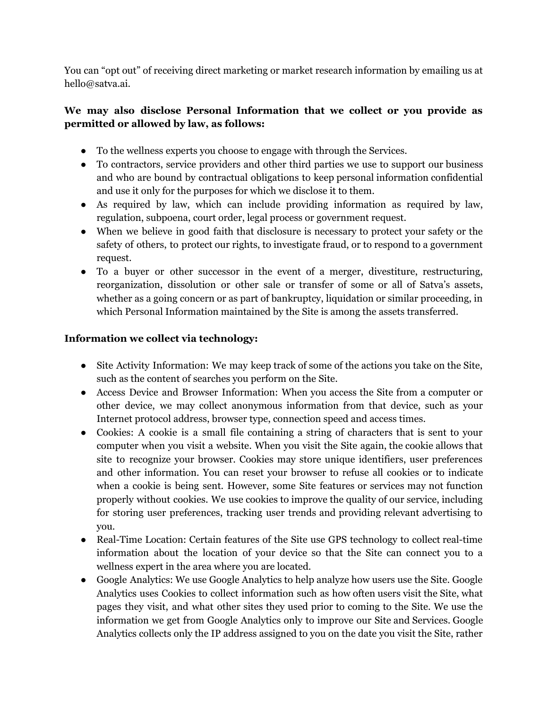You can "opt out" of receiving direct marketing or market research information by emailing us at hello@satva.ai.

# **We may also disclose Personal Information that we collect or you provide as permitted or allowed by law, as follows:**

- To the wellness experts you choose to engage with through the Services.
- To contractors, service providers and other third parties we use to support our business and who are bound by contractual obligations to keep personal information confidential and use it only for the purposes for which we disclose it to them.
- As required by law, which can include providing information as required by law, regulation, subpoena, court order, legal process or government request.
- When we believe in good faith that disclosure is necessary to protect your safety or the safety of others, to protect our rights, to investigate fraud, or to respond to a government request.
- To a buyer or other successor in the event of a merger, divestiture, restructuring, reorganization, dissolution or other sale or transfer of some or all of Satva's assets, whether as a going concern or as part of bankruptcy, liquidation or similar proceeding, in which Personal Information maintained by the Site is among the assets transferred.

# **Information we collect via technology:**

- Site Activity Information: We may keep track of some of the actions you take on the Site, such as the content of searches you perform on the Site.
- Access Device and Browser Information: When you access the Site from a computer or other device, we may collect anonymous information from that device, such as your Internet protocol address, browser type, connection speed and access times.
- Cookies: A cookie is a small file containing a string of characters that is sent to your computer when you visit a website. When you visit the Site again, the cookie allows that site to recognize your browser. Cookies may store unique identifiers, user preferences and other information. You can reset your browser to refuse all cookies or to indicate when a cookie is being sent. However, some Site features or services may not function properly without cookies. We use cookies to improve the quality of our service, including for storing user preferences, tracking user trends and providing relevant advertising to you.
- Real-Time Location: Certain features of the Site use GPS technology to collect real-time information about the location of your device so that the Site can connect you to a wellness expert in the area where you are located.
- Google Analytics: We use Google Analytics to help analyze how users use the Site. Google Analytics uses Cookies to collect information such as how often users visit the Site, what pages they visit, and what other sites they used prior to coming to the Site. We use the information we get from Google Analytics only to improve our Site and Services. Google Analytics collects only the IP address assigned to you on the date you visit the Site, rather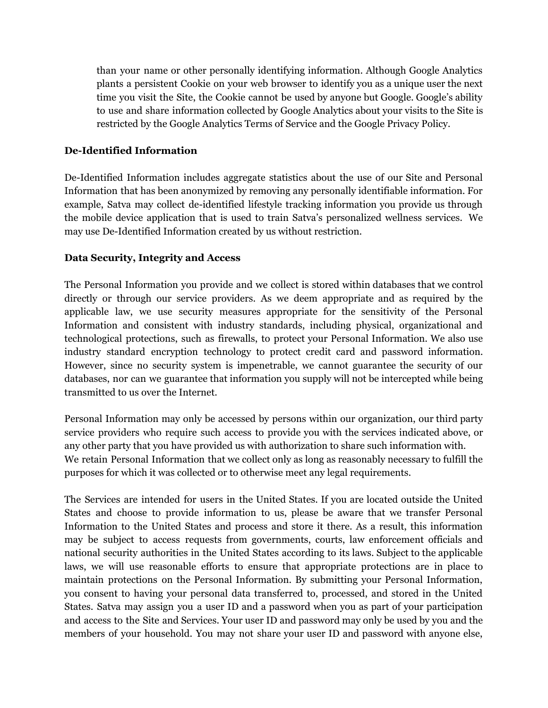than your name or other personally identifying information. Although Google Analytics plants a persistent Cookie on your web browser to identify you as a unique user the next time you visit the Site, the Cookie cannot be used by anyone but Google. Google's ability to use and share information collected by Google Analytics about your visits to the Site is restricted by the Google Analytics Terms of Service and the Google Privacy Policy.

#### **De-Identified Information**

De-Identified Information includes aggregate statistics about the use of our Site and Personal Information that has been anonymized by removing any personally identifiable information. For example, Satva may collect de-identified lifestyle tracking information you provide us through the mobile device application that is used to train Satva's personalized wellness services. We may use De-Identified Information created by us without restriction.

#### **Data Security, Integrity and Access**

The Personal Information you provide and we collect is stored within databases that we control directly or through our service providers. As we deem appropriate and as required by the applicable law, we use security measures appropriate for the sensitivity of the Personal Information and consistent with industry standards, including physical, organizational and technological protections, such as firewalls, to protect your Personal Information. We also use industry standard encryption technology to protect credit card and password information. However, since no security system is impenetrable, we cannot guarantee the security of our databases, nor can we guarantee that information you supply will not be intercepted while being transmitted to us over the Internet.

Personal Information may only be accessed by persons within our organization, our third party service providers who require such access to provide you with the services indicated above, or any other party that you have provided us with authorization to share such information with. We retain Personal Information that we collect only as long as reasonably necessary to fulfill the purposes for which it was collected or to otherwise meet any legal requirements.

The Services are intended for users in the United States. If you are located outside the United States and choose to provide information to us, please be aware that we transfer Personal Information to the United States and process and store it there. As a result, this information may be subject to access requests from governments, courts, law enforcement officials and national security authorities in the United States according to its laws. Subject to the applicable laws, we will use reasonable efforts to ensure that appropriate protections are in place to maintain protections on the Personal Information. By submitting your Personal Information, you consent to having your personal data transferred to, processed, and stored in the United States. Satva may assign you a user ID and a password when you as part of your participation and access to the Site and Services. Your user ID and password may only be used by you and the members of your household. You may not share your user ID and password with anyone else,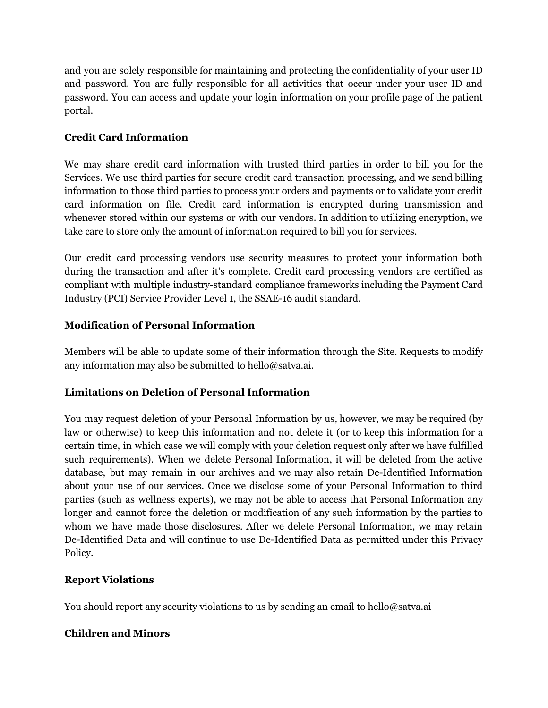and you are solely responsible for maintaining and protecting the confidentiality of your user ID and password. You are fully responsible for all activities that occur under your user ID and password. You can access and update your login information on your profile page of the patient portal.

# **Credit Card Information**

We may share credit card information with trusted third parties in order to bill you for the Services. We use third parties for secure credit card transaction processing, and we send billing information to those third parties to process your orders and payments or to validate your credit card information on file. Credit card information is encrypted during transmission and whenever stored within our systems or with our vendors. In addition to utilizing encryption, we take care to store only the amount of information required to bill you for services.

Our credit card processing vendors use security measures to protect your information both during the transaction and after it's complete. Credit card processing vendors are certified as compliant with multiple industry-standard compliance frameworks including the Payment Card Industry (PCI) Service Provider Level 1, the SSAE-16 audit standard.

# **Modification of Personal Information**

Members will be able to update some of their information through the Site. Requests to modify any information may also be submitted to hello@satva.ai.

## **Limitations on Deletion of Personal Information**

You may request deletion of your Personal Information by us, however, we may be required (by law or otherwise) to keep this information and not delete it (or to keep this information for a certain time, in which case we will comply with your deletion request only after we have fulfilled such requirements). When we delete Personal Information, it will be deleted from the active database, but may remain in our archives and we may also retain De-Identified Information about your use of our services. Once we disclose some of your Personal Information to third parties (such as wellness experts), we may not be able to access that Personal Information any longer and cannot force the deletion or modification of any such information by the parties to whom we have made those disclosures. After we delete Personal Information, we may retain De-Identified Data and will continue to use De-Identified Data as permitted under this Privacy Policy.

## **Report Violations**

You should report any security violations to us by sending an email to hello@satva.ai

## **Children and Minors**